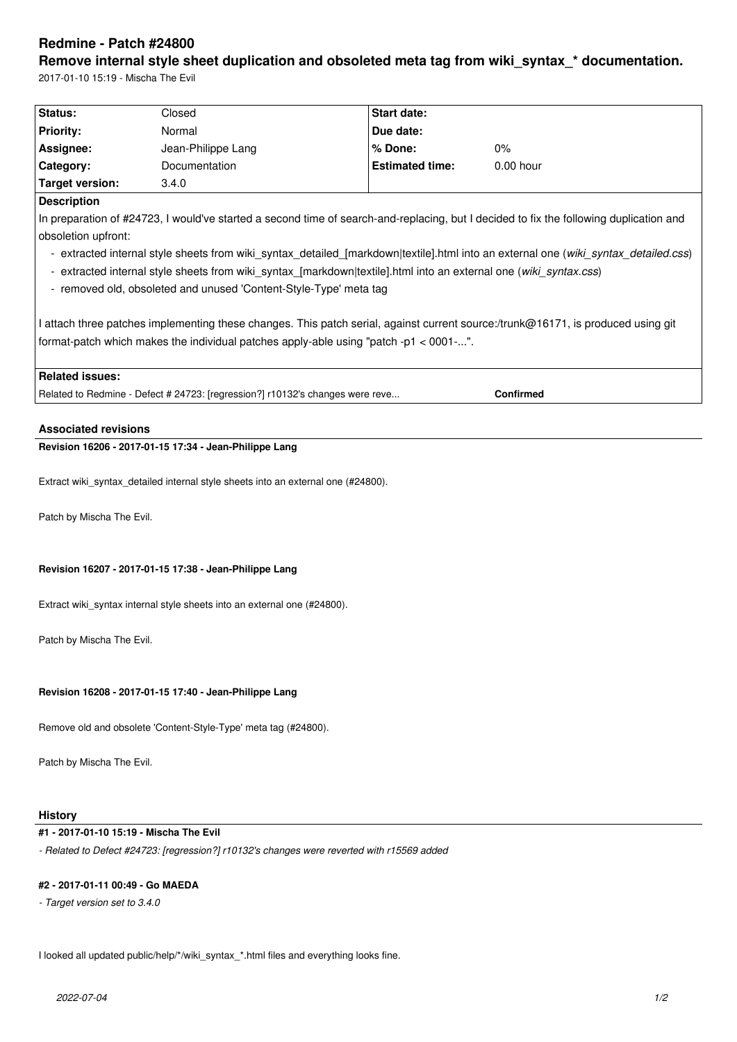# **Redmine - Patch #24800**

Remove internal style sheet duplication and obsoleted meta tag from wiki syntax \* documentation. 2017-01-10 15:19 - Mischa The Evil

| Status:                | Closed               | <b>Start date:</b>     |             |
|------------------------|----------------------|------------------------|-------------|
| <b>Priority:</b>       | Normal               | Due date:              |             |
| Assignee:              | Jean-Philippe Lang   | % Done:                | 0%          |
| Category:              | <b>Documentation</b> | <b>Estimated time:</b> | $0.00$ hour |
| <b>Target version:</b> | 3.4.0                |                        |             |

#### **Description**

In preparation of #24723, I would've started a second time of search-and-replacing, but I decided to fix the following duplication and obsoletion upfront:

- extracted internal style sheets from wiki\_syntax\_detailed\_[markdown|textile].html into an external one (*wiki\_syntax\_detailed.css*)
- extracted internal style sheets from wiki\_syntax\_[markdown|textile].html into an external one (*wiki\_syntax.css*)
- removed old, obsoleted and unused 'Content-Style-Type' meta tag

I attach three patches implementing these changes. This patch serial, against current source:/trunk@16171, is produced using git format-patch which makes the individual patches apply-able using "patch -p1 < 0001-...".

## **Related issues:**

Related to Redmine - Defect # 24723: [regression?] r10132's changes were reve... **Confirmed**

## **Associated revisions**

# **Revision 16206 - 2017-01-15 17:34 - Jean-Philippe Lang**

Extract wiki\_syntax\_detailed internal style sheets into an external one (#24800).

Patch by Mischa The Evil.

#### **Revision 16207 - 2017-01-15 17:38 - Jean-Philippe Lang**

Extract wiki\_syntax internal style sheets into an external one (#24800).

Patch by Mischa The Evil.

#### **Revision 16208 - 2017-01-15 17:40 - Jean-Philippe Lang**

Remove old and obsolete 'Content-Style-Type' meta tag (#24800).

Patch by Mischa The Evil.

#### **History**

# **#1 - 2017-01-10 15:19 - Mischa The Evil**

*- Related to Defect #24723: [regression?] r10132's changes were reverted with r15569 added*

#### **#2 - 2017-01-11 00:49 - Go MAEDA**

*- Target version set to 3.4.0*

I looked all updated public/help/\*/wiki\_syntax\_\*.html files and everything looks fine.